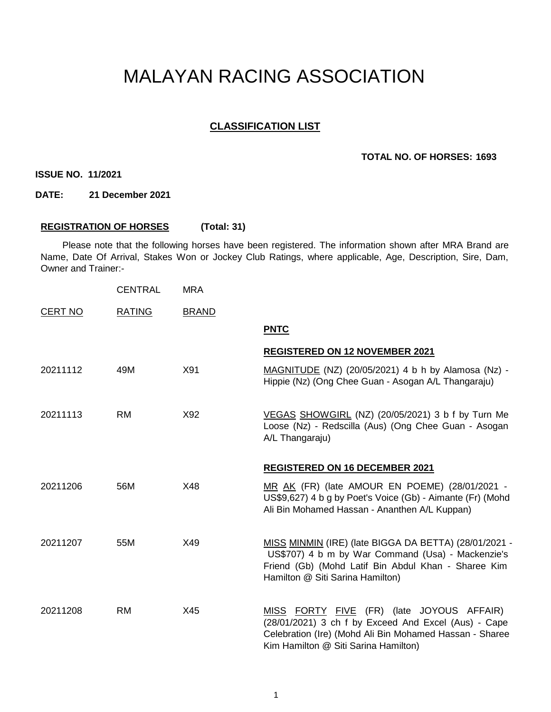# MALAYAN RACING ASSOCIATION

## **CLASSIFICATION LIST**

#### **TOTAL NO. OF HORSES: 1693**

**ISSUE NO. 11/2021**

**DATE: 21 December 2021**

## **REGISTRATION OF HORSES (Total: 31)**

Please note that the following horses have been registered. The information shown after MRA Brand are Name, Date Of Arrival, Stakes Won or Jockey Club Ratings, where applicable, Age, Description, Sire, Dam, Owner and Trainer:-

|                | <b>CENTRAL</b> | <b>MRA</b>   |                                                                                                                                                                                                       |
|----------------|----------------|--------------|-------------------------------------------------------------------------------------------------------------------------------------------------------------------------------------------------------|
| <b>CERT NO</b> | <b>RATING</b>  | <b>BRAND</b> |                                                                                                                                                                                                       |
|                |                |              | <b>PNTC</b>                                                                                                                                                                                           |
|                |                |              | <b>REGISTERED ON 12 NOVEMBER 2021</b>                                                                                                                                                                 |
| 20211112       | 49M            | X91          | MAGNITUDE (NZ) (20/05/2021) 4 b h by Alamosa (Nz) -<br>Hippie (Nz) (Ong Chee Guan - Asogan A/L Thangaraju)                                                                                            |
| 20211113       | RM.            | X92          | VEGAS SHOWGIRL (NZ) (20/05/2021) 3 b f by Turn Me<br>Loose (Nz) - Redscilla (Aus) (Ong Chee Guan - Asogan<br>A/L Thangaraju)                                                                          |
|                |                |              | <b>REGISTERED ON 16 DECEMBER 2021</b>                                                                                                                                                                 |
| 20211206       | 56M            | X48          | MR AK (FR) (late AMOUR EN POEME) (28/01/2021 -<br>US\$9,627) 4 b g by Poet's Voice (Gb) - Aimante (Fr) (Mohd<br>Ali Bin Mohamed Hassan - Ananthen A/L Kuppan)                                         |
| 20211207       | 55M            | X49          | MISS MINMIN (IRE) (late BIGGA DA BETTA) (28/01/2021 -<br>US\$707) 4 b m by War Command (Usa) - Mackenzie's<br>Friend (Gb) (Mohd Latif Bin Abdul Khan - Sharee Kim<br>Hamilton @ Siti Sarina Hamilton) |
| 20211208       | RM             | X45          | MISS FORTY FIVE (FR) (late JOYOUS AFFAIR)<br>(28/01/2021) 3 ch f by Exceed And Excel (Aus) - Cape<br>Celebration (Ire) (Mohd Ali Bin Mohamed Hassan - Sharee<br>Kim Hamilton @ Siti Sarina Hamilton)  |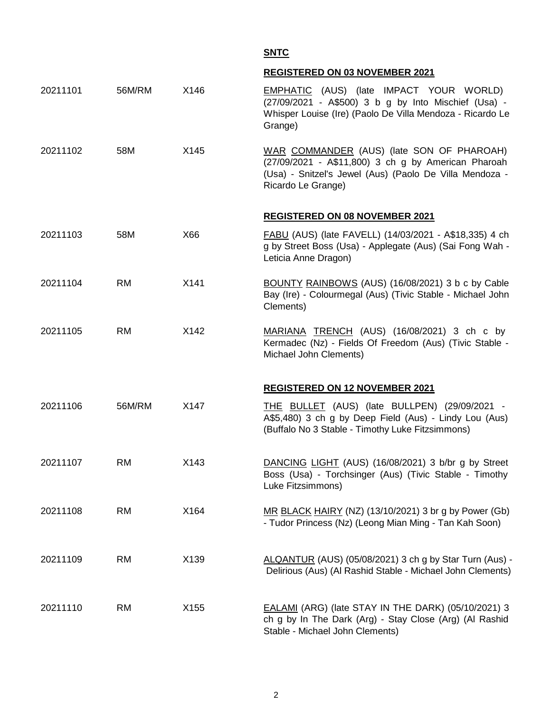**SNTC**

## **REGISTERED ON 03 NOVEMBER 2021**

| 20211101 | 56M/RM    | X146 | <b>EMPHATIC</b> (AUS) (late IMPACT YOUR WORLD)<br>(27/09/2021 - A\$500) 3 b g by Into Mischief (Usa) -<br>Whisper Louise (Ire) (Paolo De Villa Mendoza - Ricardo Le<br>Grange)    |
|----------|-----------|------|-----------------------------------------------------------------------------------------------------------------------------------------------------------------------------------|
| 20211102 | 58M       | X145 | WAR COMMANDER (AUS) (late SON OF PHAROAH)<br>(27/09/2021 - A\$11,800) 3 ch g by American Pharoah<br>(Usa) - Snitzel's Jewel (Aus) (Paolo De Villa Mendoza -<br>Ricardo Le Grange) |
|          |           |      | <b>REGISTERED ON 08 NOVEMBER 2021</b>                                                                                                                                             |
| 20211103 | 58M       | X66  | FABU (AUS) (late FAVELL) (14/03/2021 - A\$18,335) 4 ch<br>g by Street Boss (Usa) - Applegate (Aus) (Sai Fong Wah -<br>Leticia Anne Dragon)                                        |
| 20211104 | <b>RM</b> | X141 | BOUNTY RAINBOWS (AUS) (16/08/2021) 3 b c by Cable<br>Bay (Ire) - Colourmegal (Aus) (Tivic Stable - Michael John<br>Clements)                                                      |
| 20211105 | <b>RM</b> | X142 | MARIANA TRENCH (AUS) (16/08/2021) 3 ch c by<br>Kermadec (Nz) - Fields Of Freedom (Aus) (Tivic Stable -<br>Michael John Clements)                                                  |
|          |           |      | <b>REGISTERED ON 12 NOVEMBER 2021</b>                                                                                                                                             |
| 20211106 | 56M/RM    | X147 | THE BULLET (AUS) (late BULLPEN) (29/09/2021 -<br>A\$5,480) 3 ch g by Deep Field (Aus) - Lindy Lou (Aus)<br>(Buffalo No 3 Stable - Timothy Luke Fitzsimmons)                       |
| 20211107 | <b>RM</b> | X143 | DANCING LIGHT (AUS) (16/08/2021) 3 b/br g by Street<br>Boss (Usa) - Torchsinger (Aus) (Tivic Stable - Timothy<br>Luke Fitzsimmons)                                                |
| 20211108 | <b>RM</b> | X164 | MR BLACK HAIRY (NZ) (13/10/2021) 3 br g by Power (Gb)<br>- Tudor Princess (Nz) (Leong Mian Ming - Tan Kah Soon)                                                                   |
| 20211109 | <b>RM</b> | X139 | ALQANTUR (AUS) (05/08/2021) 3 ch g by Star Turn (Aus) -<br>Delirious (Aus) (Al Rashid Stable - Michael John Clements)                                                             |
| 20211110 | <b>RM</b> | X155 | <b>EALAMI</b> (ARG) (late STAY IN THE DARK) (05/10/2021) 3<br>ch g by In The Dark (Arg) - Stay Close (Arg) (Al Rashid<br>Stable - Michael John Clements)                          |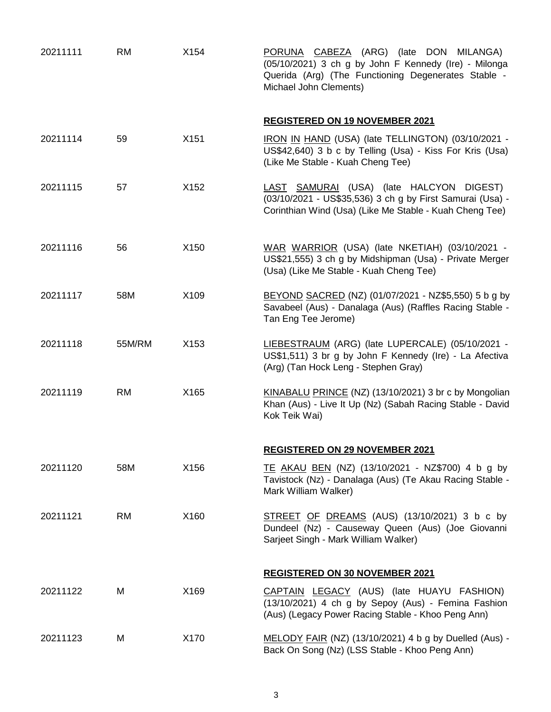| 20211111 | <b>RM</b> | X154 | PORUNA CABEZA (ARG) (late DON MILANGA)<br>(05/10/2021) 3 ch g by John F Kennedy (Ire) - Milonga<br>Querida (Arg) (The Functioning Degenerates Stable -<br>Michael John Clements) |
|----------|-----------|------|----------------------------------------------------------------------------------------------------------------------------------------------------------------------------------|
|          |           |      | <b>REGISTERED ON 19 NOVEMBER 2021</b>                                                                                                                                            |
| 20211114 | 59        | X151 | IRON IN HAND (USA) (late TELLINGTON) (03/10/2021 -<br>US\$42,640) 3 b c by Telling (Usa) - Kiss For Kris (Usa)<br>(Like Me Stable - Kuah Cheng Tee)                              |
| 20211115 | 57        | X152 | LAST SAMURAI (USA) (late HALCYON DIGEST)<br>(03/10/2021 - US\$35,536) 3 ch g by First Samurai (Usa) -<br>Corinthian Wind (Usa) (Like Me Stable - Kuah Cheng Tee)                 |
| 20211116 | 56        | X150 | WAR WARRIOR (USA) (late NKETIAH) (03/10/2021 -<br>US\$21,555) 3 ch g by Midshipman (Usa) - Private Merger<br>(Usa) (Like Me Stable - Kuah Cheng Tee)                             |
| 20211117 | 58M       | X109 | BEYOND SACRED (NZ) (01/07/2021 - NZ\$5,550) 5 b g by<br>Savabeel (Aus) - Danalaga (Aus) (Raffles Racing Stable -<br>Tan Eng Tee Jerome)                                          |
| 20211118 | 55M/RM    | X153 | LIEBESTRAUM (ARG) (late LUPERCALE) (05/10/2021 -<br>US\$1,511) 3 br g by John F Kennedy (Ire) - La Afectiva<br>(Arg) (Tan Hock Leng - Stephen Gray)                              |
| 20211119 | <b>RM</b> | X165 | KINABALU PRINCE (NZ) (13/10/2021) 3 br c by Mongolian<br>Khan (Aus) - Live It Up (Nz) (Sabah Racing Stable - David<br>Kok Teik Wai)                                              |
|          |           |      | <b>REGISTERED ON 29 NOVEMBER 2021</b>                                                                                                                                            |
| 20211120 | 58M       | X156 | TE AKAU BEN (NZ) (13/10/2021 - NZ\$700) 4 b g by<br>Tavistock (Nz) - Danalaga (Aus) (Te Akau Racing Stable -<br>Mark William Walker)                                             |
| 20211121 | <b>RM</b> | X160 | STREET OF DREAMS (AUS) (13/10/2021) 3 b c by<br>Dundeel (Nz) - Causeway Queen (Aus) (Joe Giovanni<br>Sarjeet Singh - Mark William Walker)                                        |
|          |           |      | <b>REGISTERED ON 30 NOVEMBER 2021</b>                                                                                                                                            |
| 20211122 | М         | X169 | CAPTAIN LEGACY (AUS) (late HUAYU FASHION)<br>(13/10/2021) 4 ch g by Sepoy (Aus) - Femina Fashion<br>(Aus) (Legacy Power Racing Stable - Khoo Peng Ann)                           |
| 20211123 | M         | X170 | MELODY FAIR (NZ) (13/10/2021) 4 b g by Duelled (Aus) -<br>Back On Song (Nz) (LSS Stable - Khoo Peng Ann)                                                                         |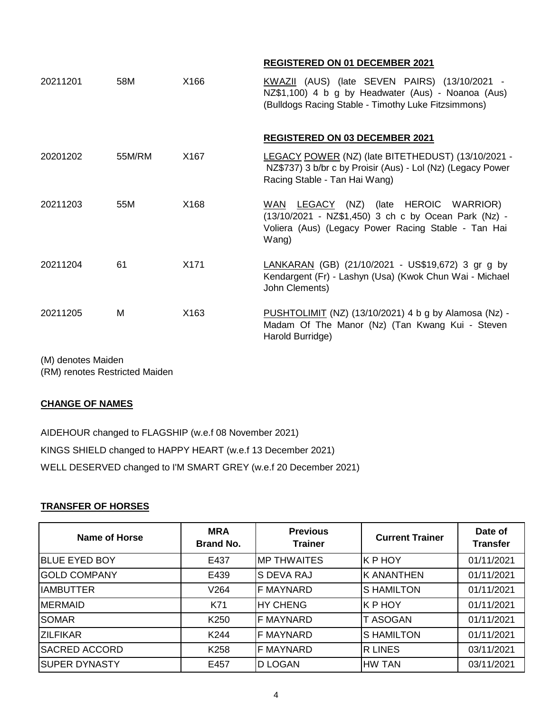## **REGISTERED ON 01 DECEMBER 2021**

| 20211201 | 58M    | X166 | KWAZII (AUS) (late SEVEN PAIRS) (13/10/2021 -<br>NZ\$1,100) 4 b g by Headwater (Aus) - Noanoa (Aus)<br>(Bulldogs Racing Stable - Timothy Luke Fitzsimmons)    |
|----------|--------|------|---------------------------------------------------------------------------------------------------------------------------------------------------------------|
|          |        |      | <b>REGISTERED ON 03 DECEMBER 2021</b>                                                                                                                         |
| 20201202 | 55M/RM | X167 | LEGACY POWER (NZ) (late BITETHEDUST) (13/10/2021 -<br>NZ\$737) 3 b/br c by Proisir (Aus) - Lol (Nz) (Legacy Power<br>Racing Stable - Tan Hai Wang)            |
| 20211203 | 55M    | X168 | WAN LEGACY (NZ) (late HEROIC WARRIOR)<br>(13/10/2021 - NZ\$1,450) 3 ch c by Ocean Park (Nz) -<br>Voliera (Aus) (Legacy Power Racing Stable - Tan Hai<br>Wang) |
| 20211204 | 61     | X171 | LANKARAN (GB) (21/10/2021 - US\$19,672) 3 gr g by<br>Kendargent (Fr) - Lashyn (Usa) (Kwok Chun Wai - Michael<br>John Clements)                                |
| 20211205 | м      | X163 | PUSHTOLIMIT (NZ) (13/10/2021) 4 b g by Alamosa (Nz) -<br>Madam Of The Manor (Nz) (Tan Kwang Kui - Steven<br>Harold Burridge)                                  |

(M) denotes Maiden

(RM) renotes Restricted Maiden

# **CHANGE OF NAMES**

AIDEHOUR changed to FLAGSHIP (w.e.f 08 November 2021) KINGS SHIELD changed to HAPPY HEART (w.e.f 13 December 2021) WELL DESERVED changed to I'M SMART GREY (w.e.f 20 December 2021)

# **TRANSFER OF HORSES**

| Name of Horse        | <b>MRA</b><br><b>Brand No.</b> | <b>Previous</b><br><b>Trainer</b> | <b>Current Trainer</b> | Date of<br><b>Transfer</b> |
|----------------------|--------------------------------|-----------------------------------|------------------------|----------------------------|
| <b>BLUE EYED BOY</b> | E437                           | IMP THWAITES                      | K P HOY                | 01/11/2021                 |
| <b>IGOLD COMPANY</b> | E439                           | IS DEVA RAJ                       | <b>K ANANTHEN</b>      | 01/11/2021                 |
| <b>IAMBUTTER</b>     | V264                           | IF MAYNARD                        | <b>SHAMILTON</b>       | 01/11/2021                 |
| <b>MERMAID</b>       | K71                            | <b>HY CHENG</b>                   | K P HOY                | 01/11/2021                 |
| <b>SOMAR</b>         | K <sub>250</sub>               | <b>F MAYNARD</b>                  | T ASOGAN               | 01/11/2021                 |
| <b>ZILFIKAR</b>      | K <sub>244</sub>               | <b>IF MAYNARD</b>                 | <b>SHAMILTON</b>       | 01/11/2021                 |
| <b>SACRED ACCORD</b> | K <sub>258</sub>               | IF MAYNARD                        | <b>R LINES</b>         | 03/11/2021                 |
| <b>SUPER DYNASTY</b> | E457                           | <b>D LOGAN</b>                    | HW TAN                 | 03/11/2021                 |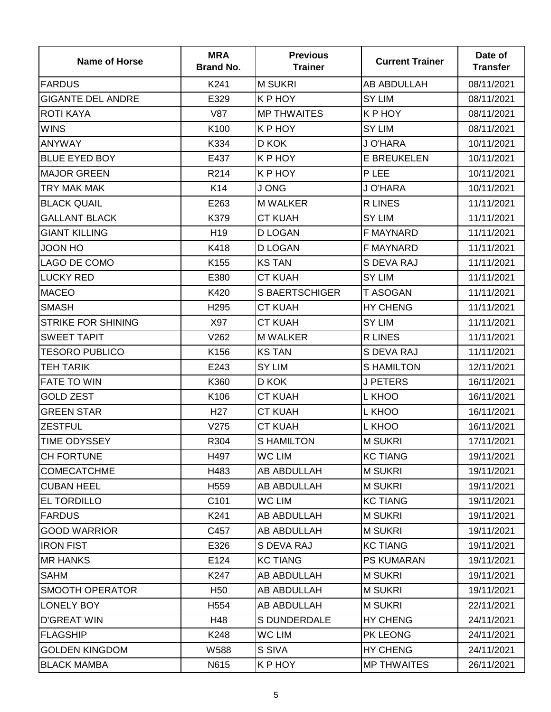| <b>Name of Horse</b>      | <b>MRA</b><br><b>Brand No.</b> | <b>Previous</b><br><b>Trainer</b> | <b>Current Trainer</b> | Date of<br><b>Transfer</b> |
|---------------------------|--------------------------------|-----------------------------------|------------------------|----------------------------|
| <b>FARDUS</b>             | K241                           | <b>M SUKRI</b>                    | AB ABDULLAH            | 08/11/2021                 |
| <b>GIGANTE DEL ANDRE</b>  | E329                           | K P HOY                           | <b>SY LIM</b>          | 08/11/2021                 |
| <b>ROTI KAYA</b>          | <b>V87</b>                     | <b>MP THWAITES</b>                | K P HOY                | 08/11/2021                 |
| <b>WINS</b>               | K100                           | K P HOY                           | <b>SY LIM</b>          | 08/11/2021                 |
| <b>ANYWAY</b>             | K334                           | D KOK                             | J O'HARA               | 10/11/2021                 |
| <b>BLUE EYED BOY</b>      | E437                           | K P HOY                           | <b>E BREUKELEN</b>     | 10/11/2021                 |
| <b>MAJOR GREEN</b>        | R214                           | K P HOY                           | P LEE                  | 10/11/2021                 |
| TRY MAK MAK               | K14                            | J ONG                             | J O'HARA               | 10/11/2021                 |
| <b>BLACK QUAIL</b>        | E263                           | <b>M WALKER</b>                   | <b>R LINES</b>         | 11/11/2021                 |
| <b>GALLANT BLACK</b>      | K379                           | <b>CT KUAH</b>                    | <b>SY LIM</b>          | 11/11/2021                 |
| <b>GIANT KILLING</b>      | H <sub>19</sub>                | <b>D LOGAN</b>                    | <b>F MAYNARD</b>       | 11/11/2021                 |
| <b>JOON HO</b>            | K418                           | <b>D LOGAN</b>                    | <b>F MAYNARD</b>       | 11/11/2021                 |
| LAGO DE COMO              | K155                           | <b>KS TAN</b>                     | S DEVA RAJ             | 11/11/2021                 |
| <b>LUCKY RED</b>          | E380                           | <b>CT KUAH</b>                    | <b>SY LIM</b>          | 11/11/2021                 |
| <b>MACEO</b>              | K420                           | <b>S BAERTSCHIGER</b>             | <b>T ASOGAN</b>        | 11/11/2021                 |
| <b>SMASH</b>              | H <sub>295</sub>               | <b>CT KUAH</b>                    | <b>HY CHENG</b>        | 11/11/2021                 |
| <b>STRIKE FOR SHINING</b> | X97                            | <b>CT KUAH</b>                    | <b>SY LIM</b>          | 11/11/2021                 |
| <b>SWEET TAPIT</b>        | V262                           | <b>M WALKER</b>                   | <b>R LINES</b>         | 11/11/2021                 |
| <b>TESORO PUBLICO</b>     | K156                           | <b>KS TAN</b>                     | S DEVA RAJ             | 11/11/2021                 |
| <b>TEH TARIK</b>          | E243                           | <b>SY LIM</b>                     | <b>SHAMILTON</b>       | 12/11/2021                 |
| <b>FATE TO WIN</b>        | K360                           | D KOK                             | <b>J PETERS</b>        | 16/11/2021                 |
| <b>GOLD ZEST</b>          | K106                           | <b>CT KUAH</b>                    | L KHOO                 | 16/11/2021                 |
| <b>GREEN STAR</b>         | H <sub>27</sub>                | <b>CT KUAH</b>                    | L KHOO                 | 16/11/2021                 |
| <b>ZESTFUL</b>            | V275                           | <b>CT KUAH</b>                    | L KHOO                 | 16/11/2021                 |
| <b>TIME ODYSSEY</b>       | R304                           | <b>S HAMILTON</b>                 | <b>M SUKRI</b>         | 17/11/2021                 |
| <b>CH FORTUNE</b>         | H497                           | WC LIM                            | <b>KC TIANG</b>        | 19/11/2021                 |
| <b>COMECATCHME</b>        | H483                           | AB ABDULLAH                       | <b>M SUKRI</b>         | 19/11/2021                 |
| <b>CUBAN HEEL</b>         | H <sub>559</sub>               | AB ABDULLAH                       | <b>M SUKRI</b>         | 19/11/2021                 |
| <b>EL TORDILLO</b>        | C101                           | WC LIM                            | <b>KC TIANG</b>        | 19/11/2021                 |
| <b>FARDUS</b>             | K241                           | AB ABDULLAH                       | <b>M SUKRI</b>         | 19/11/2021                 |
| <b>GOOD WARRIOR</b>       | C457                           | AB ABDULLAH                       | <b>M SUKRI</b>         | 19/11/2021                 |
| <b>IRON FIST</b>          | E326                           | S DEVA RAJ                        | <b>KC TIANG</b>        | 19/11/2021                 |
| <b>MR HANKS</b>           | E124                           | <b>KC TIANG</b>                   | <b>PS KUMARAN</b>      | 19/11/2021                 |
| <b>SAHM</b>               | K247                           | AB ABDULLAH                       | <b>M SUKRI</b>         | 19/11/2021                 |
| <b>SMOOTH OPERATOR</b>    | H <sub>50</sub>                | AB ABDULLAH                       | <b>M SUKRI</b>         | 19/11/2021                 |
| LONELY BOY                | H <sub>554</sub>               | AB ABDULLAH                       | <b>M SUKRI</b>         | 22/11/2021                 |
| <b>D'GREAT WIN</b>        | H48                            | <b>S DUNDERDALE</b>               | <b>HY CHENG</b>        | 24/11/2021                 |
| <b>FLAGSHIP</b>           | K248                           | WC LIM                            | PK LEONG               | 24/11/2021                 |
| <b>GOLDEN KINGDOM</b>     | W588                           | S SIVA                            | <b>HY CHENG</b>        | 24/11/2021                 |
| <b>BLACK MAMBA</b>        | N615                           | K P HOY                           | <b>MP THWAITES</b>     | 26/11/2021                 |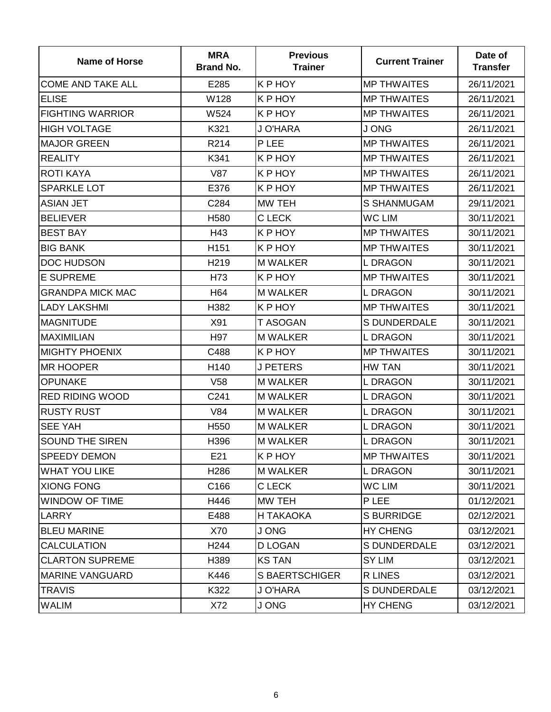| <b>Name of Horse</b>     | <b>MRA</b><br><b>Brand No.</b> | <b>Previous</b><br><b>Trainer</b> | <b>Current Trainer</b> | Date of<br><b>Transfer</b> |
|--------------------------|--------------------------------|-----------------------------------|------------------------|----------------------------|
| <b>COME AND TAKE ALL</b> | E285                           | K P HOY                           | <b>MP THWAITES</b>     | 26/11/2021                 |
| <b>ELISE</b>             | W128                           | K P HOY                           | <b>MP THWAITES</b>     | 26/11/2021                 |
| <b>FIGHTING WARRIOR</b>  | W524                           | K P HOY                           | <b>MP THWAITES</b>     | 26/11/2021                 |
| <b>HIGH VOLTAGE</b>      | K321                           | J O'HARA                          | J ONG                  | 26/11/2021                 |
| <b>MAJOR GREEN</b>       | R214                           | P LEE                             | <b>MP THWAITES</b>     | 26/11/2021                 |
| <b>REALITY</b>           | K341                           | K P HOY                           | <b>MP THWAITES</b>     | 26/11/2021                 |
| <b>ROTI KAYA</b>         | <b>V87</b>                     | K P HOY                           | <b>MP THWAITES</b>     | 26/11/2021                 |
| <b>SPARKLE LOT</b>       | E376                           | K P HOY                           | <b>MP THWAITES</b>     | 26/11/2021                 |
| <b>ASIAN JET</b>         | C284                           | MW TEH                            | <b>S SHANMUGAM</b>     | 29/11/2021                 |
| <b>BELIEVER</b>          | H <sub>580</sub>               | C LECK                            | <b>WC LIM</b>          | 30/11/2021                 |
| <b>BEST BAY</b>          | H43                            | K P HOY                           | <b>MP THWAITES</b>     | 30/11/2021                 |
| <b>BIG BANK</b>          | H151                           | K P HOY                           | <b>MP THWAITES</b>     | 30/11/2021                 |
| <b>DOC HUDSON</b>        | H <sub>219</sub>               | <b>M WALKER</b>                   | <b>LDRAGON</b>         | 30/11/2021                 |
| <b>E SUPREME</b>         | H73                            | K P HOY                           | <b>MP THWAITES</b>     | 30/11/2021                 |
| <b>GRANDPA MICK MAC</b>  | H <sub>64</sub>                | <b>M WALKER</b>                   | <b>LDRAGON</b>         | 30/11/2021                 |
| <b>LADY LAKSHMI</b>      | H382                           | K P HOY                           | <b>MP THWAITES</b>     | 30/11/2021                 |
| <b>MAGNITUDE</b>         | X91                            | T ASOGAN                          | <b>S DUNDERDALE</b>    | 30/11/2021                 |
| <b>MAXIMILIAN</b>        | H97                            | <b>M WALKER</b>                   | <b>LDRAGON</b>         | 30/11/2021                 |
| <b>MIGHTY PHOENIX</b>    | C488                           | K P HOY                           | <b>MP THWAITES</b>     | 30/11/2021                 |
| <b>MR HOOPER</b>         | H140                           | <b>J PETERS</b>                   | HW TAN                 | 30/11/2021                 |
| <b>OPUNAKE</b>           | V <sub>58</sub>                | <b>M WALKER</b>                   | <b>LDRAGON</b>         | 30/11/2021                 |
| <b>RED RIDING WOOD</b>   | C241                           | <b>M WALKER</b>                   | <b>LDRAGON</b>         | 30/11/2021                 |
| <b>RUSTY RUST</b>        | V84                            | <b>M WALKER</b>                   | <b>LDRAGON</b>         | 30/11/2021                 |
| <b>SEE YAH</b>           | H <sub>550</sub>               | <b>M WALKER</b>                   | <b>LDRAGON</b>         | 30/11/2021                 |
| <b>SOUND THE SIREN</b>   | H396                           | <b>M WALKER</b>                   | <b>LDRAGON</b>         | 30/11/2021                 |
| <b>SPEEDY DEMON</b>      | E21                            | K P HOY                           | <b>MP THWAITES</b>     | 30/11/2021                 |
| <b>WHAT YOU LIKE</b>     | H <sub>286</sub>               | <b>M WALKER</b>                   | <b>LDRAGON</b>         | 30/11/2021                 |
| <b>XIONG FONG</b>        | C166                           | C LECK                            | WC LIM                 | 30/11/2021                 |
| <b>WINDOW OF TIME</b>    | H446                           | MW TEH                            | P LEE                  | 01/12/2021                 |
| LARRY                    | E488                           | H TAKAOKA                         | <b>S BURRIDGE</b>      | 02/12/2021                 |
| <b>BLEU MARINE</b>       | X70                            | J ONG                             | <b>HY CHENG</b>        | 03/12/2021                 |
| <b>CALCULATION</b>       | H <sub>244</sub>               | D LOGAN                           | S DUNDERDALE           | 03/12/2021                 |
| <b>CLARTON SUPREME</b>   | H389                           | <b>KS TAN</b>                     | <b>SY LIM</b>          | 03/12/2021                 |
| <b>MARINE VANGUARD</b>   | K446                           | <b>S BAERTSCHIGER</b>             | R LINES                | 03/12/2021                 |
| <b>TRAVIS</b>            | K322                           | J O'HARA                          | <b>S DUNDERDALE</b>    | 03/12/2021                 |
| <b>WALIM</b>             | X72                            | J ONG                             | <b>HY CHENG</b>        | 03/12/2021                 |